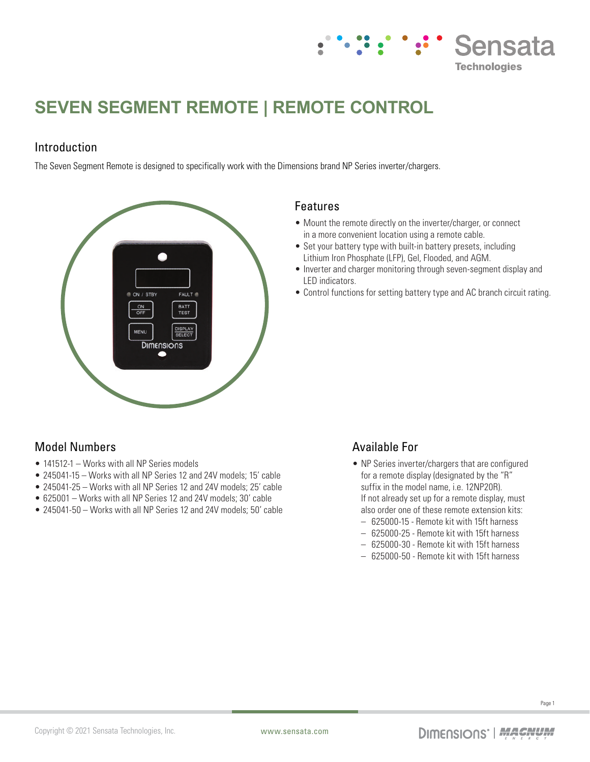

# **SEVEN SEGMENT REMOTE | REMOTE CONTROL**

### Introduction

The Seven Segment Remote is designed to specifically work with the Dimensions brand NP Series inverter/chargers.



#### Features

- Mount the remote directly on the inverter/charger, or connect in a more convenient location using a remote cable.
- Set your battery type with built-in battery presets, including Lithium Iron Phosphate (LFP), Gel, Flooded, and AGM.
- Inverter and charger monitoring through seven-segment display and LED indicators.
- Control functions for setting battery type and AC branch circuit rating.

## Model Numbers

- 141512-1 Works with all NP Series models
- 245041-15 Works with all NP Series 12 and 24V models; 15' cable
- 245041-25 Works with all NP Series 12 and 24V models; 25' cable
- 625001 Works with all NP Series 12 and 24V models; 30' cable
- 245041-50 Works with all NP Series 12 and 24V models; 50' cable

## Available For

- NP Series inverter/chargers that are configured for a remote display (designated by the "R" suffix in the model name, i.e. 12NP20R). If not already set up for a remote display, must also order one of these remote extension kits:
	- 625000-15 Remote kit with 15ft harness
	- 625000-25 Remote kit with 15ft harness
	- 625000-30 Remote kit with 15ft harness
	- 625000-50 Remote kit with 15ft harness